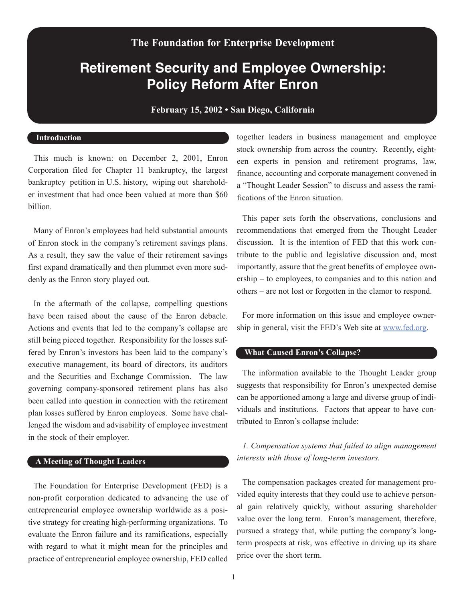## **The Foundation for Enterprise Development**

# **Retirement Security and Employee Ownership: Policy Reform After Enron**

**February 15, 2002 • San Diego, California**

#### **Introduction**

This much is known: on December 2, 2001, Enron Corporation filed for Chapter 11 bankruptcy, the largest bankruptcy petition in U.S. history, wiping out shareholder investment that had once been valued at more than \$60 billion.

Many of Enron's employees had held substantial amounts of Enron stock in the company's retirement savings plans. As a result, they saw the value of their retirement savings first expand dramatically and then plummet even more suddenly as the Enron story played out.

In the aftermath of the collapse, compelling questions have been raised about the cause of the Enron debacle. Actions and events that led to the company's collapse are still being pieced together. Responsibility for the losses suffered by Enron's investors has been laid to the company's executive management, its board of directors, its auditors and the Securities and Exchange Commission. The law governing company-sponsored retirement plans has also been called into question in connection with the retirement plan losses suffered by Enron employees. Some have challenged the wisdom and advisability of employee investment in the stock of their employer.

#### **A Meeting of Thought Leaders**

The Foundation for Enterprise Development (FED) is a non-profit corporation dedicated to advancing the use of entrepreneurial employee ownership worldwide as a positive strategy for creating high-performing organizations. To evaluate the Enron failure and its ramifications, especially with regard to what it might mean for the principles and practice of entrepreneurial employee ownership, FED called

together leaders in business management and employee stock ownership from across the country. Recently, eighteen experts in pension and retirement programs, law, finance, accounting and corporate management convened in a "Thought Leader Session" to discuss and assess the ramifications of the Enron situation.

This paper sets forth the observations, conclusions and recommendations that emerged from the Thought Leader discussion. It is the intention of FED that this work contribute to the public and legislative discussion and, most importantly, assure that the great benefits of employee ownership – to employees, to companies and to this nation and others – are not lost or forgotten in the clamor to respond.

For more information on this issue and employee ownership in general, visit the FED's Web site at www.fed.org.

### **What Caused Enron's Collapse?**

The information available to the Thought Leader group suggests that responsibility for Enron's unexpected demise can be apportioned among a large and diverse group of individuals and institutions. Factors that appear to have contributed to Enron's collapse include:

*1. Compensation systems that failed to align management interests with those of long-term investors.* 

The compensation packages created for management provided equity interests that they could use to achieve personal gain relatively quickly, without assuring shareholder value over the long term. Enron's management, therefore, pursued a strategy that, while putting the company's longterm prospects at risk, was effective in driving up its share price over the short term.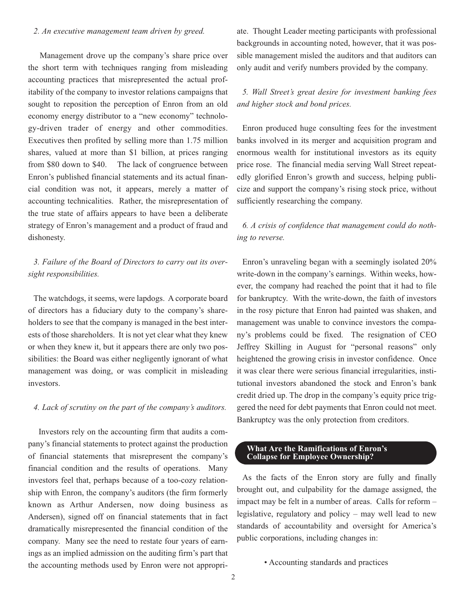#### *2. An executive management team driven by greed.*

Management drove up the company's share price over the short term with techniques ranging from misleading accounting practices that misrepresented the actual profitability of the company to investor relations campaigns that sought to reposition the perception of Enron from an old economy energy distributor to a "new economy" technology-driven trader of energy and other commodities. Executives then profited by selling more than 1.75 million shares, valued at more than \$1 billion, at prices ranging from \$80 down to \$40. The lack of congruence between Enron's published financial statements and its actual financial condition was not, it appears, merely a matter of accounting technicalities. Rather, the misrepresentation of the true state of affairs appears to have been a deliberate strategy of Enron's management and a product of fraud and dishonesty.

## *3. Failure of the Board of Directors to carry out its oversight responsibilities.*

The watchdogs, it seems, were lapdogs. A corporate board of directors has a fiduciary duty to the company's shareholders to see that the company is managed in the best interests of those shareholders. It is not yet clear what they knew or when they knew it, but it appears there are only two possibilities: the Board was either negligently ignorant of what management was doing, or was complicit in misleading investors.

#### *4. Lack of scrutiny on the part of the company's auditors.*

Investors rely on the accounting firm that audits a company's financial statements to protect against the production of financial statements that misrepresent the company's financial condition and the results of operations. Many investors feel that, perhaps because of a too-cozy relationship with Enron, the company's auditors (the firm formerly known as Arthur Andersen, now doing business as Andersen), signed off on financial statements that in fact dramatically misrepresented the financial condition of the company. Many see the need to restate four years of earnings as an implied admission on the auditing firm's part that the accounting methods used by Enron were not appropriate. Thought Leader meeting participants with professional backgrounds in accounting noted, however, that it was possible management misled the auditors and that auditors can only audit and verify numbers provided by the company.

## *5. Wall Street's great desire for investment banking fees and higher stock and bond prices.*

Enron produced huge consulting fees for the investment banks involved in its merger and acquisition program and enormous wealth for institutional investors as its equity price rose. The financial media serving Wall Street repeatedly glorified Enron's growth and success, helping publicize and support the company's rising stock price, without sufficiently researching the company.

## *6. A crisis of confidence that management could do nothing to reverse.*

Enron's unraveling began with a seemingly isolated 20% write-down in the company's earnings. Within weeks, however, the company had reached the point that it had to file for bankruptcy. With the write-down, the faith of investors in the rosy picture that Enron had painted was shaken, and management was unable to convince investors the company's problems could be fixed. The resignation of CEO Jeffrey Skilling in August for "personal reasons" only heightened the growing crisis in investor confidence. Once it was clear there were serious financial irregularities, institutional investors abandoned the stock and Enron's bank credit dried up. The drop in the company's equity price triggered the need for debt payments that Enron could not meet. Bankruptcy was the only protection from creditors.

#### **What Are the Ramifications of Enron's Collapse for Employee Ownership?**

As the facts of the Enron story are fully and finally brought out, and culpability for the damage assigned, the impact may be felt in a number of areas. Calls for reform – legislative, regulatory and policy – may well lead to new standards of accountability and oversight for America's public corporations, including changes in:

• Accounting standards and practices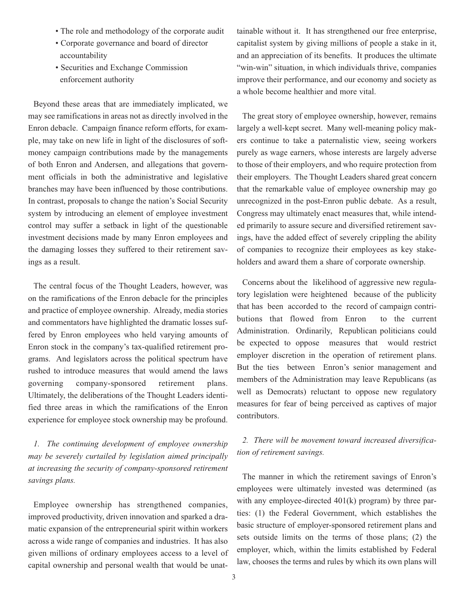- The role and methodology of the corporate audit
- Corporate governance and board of director accountability
- Securities and Exchange Commission enforcement authority

Beyond these areas that are immediately implicated, we may see ramifications in areas not as directly involved in the Enron debacle. Campaign finance reform efforts, for example, may take on new life in light of the disclosures of softmoney campaign contributions made by the managements of both Enron and Andersen, and allegations that government officials in both the administrative and legislative branches may have been influenced by those contributions. In contrast, proposals to change the nation's Social Security system by introducing an element of employee investment control may suffer a setback in light of the questionable investment decisions made by many Enron employees and the damaging losses they suffered to their retirement savings as a result.

The central focus of the Thought Leaders, however, was on the ramifications of the Enron debacle for the principles and practice of employee ownership. Already, media stories and commentators have highlighted the dramatic losses suffered by Enron employees who held varying amounts of Enron stock in the company's tax-qualified retirement programs. And legislators across the political spectrum have rushed to introduce measures that would amend the laws governing company-sponsored retirement plans. Ultimately, the deliberations of the Thought Leaders identified three areas in which the ramifications of the Enron experience for employee stock ownership may be profound.

*1. The continuing development of employee ownership may be severely curtailed by legislation aimed principally at increasing the security of company-sponsored retirement savings plans.*

Employee ownership has strengthened companies, improved productivity, driven innovation and sparked a dramatic expansion of the entrepreneurial spirit within workers across a wide range of companies and industries. It has also given millions of ordinary employees access to a level of capital ownership and personal wealth that would be unattainable without it. It has strengthened our free enterprise, capitalist system by giving millions of people a stake in it, and an appreciation of its benefits. It produces the ultimate "win-win" situation, in which individuals thrive, companies improve their performance, and our economy and society as a whole become healthier and more vital.

The great story of employee ownership, however, remains largely a well-kept secret. Many well-meaning policy makers continue to take a paternalistic view, seeing workers purely as wage earners, whose interests are largely adverse to those of their employers, and who require protection from their employers. The Thought Leaders shared great concern that the remarkable value of employee ownership may go unrecognized in the post-Enron public debate. As a result, Congress may ultimately enact measures that, while intended primarily to assure secure and diversified retirement savings, have the added effect of severely crippling the ability of companies to recognize their employees as key stakeholders and award them a share of corporate ownership.

Concerns about the likelihood of aggressive new regulatory legislation were heightened because of the publicity that has been accorded to the record of campaign contributions that flowed from Enron to the current Administration. Ordinarily, Republican politicians could be expected to oppose measures that would restrict employer discretion in the operation of retirement plans. But the ties between Enron's senior management and members of the Administration may leave Republicans (as well as Democrats) reluctant to oppose new regulatory measures for fear of being perceived as captives of major contributors.

## *2. There will be movement toward increased diversification of retirement savings.*

The manner in which the retirement savings of Enron's employees were ultimately invested was determined (as with any employee-directed  $401(k)$  program) by three parties: (1) the Federal Government, which establishes the basic structure of employer-sponsored retirement plans and sets outside limits on the terms of those plans; (2) the employer, which, within the limits established by Federal law, chooses the terms and rules by which its own plans will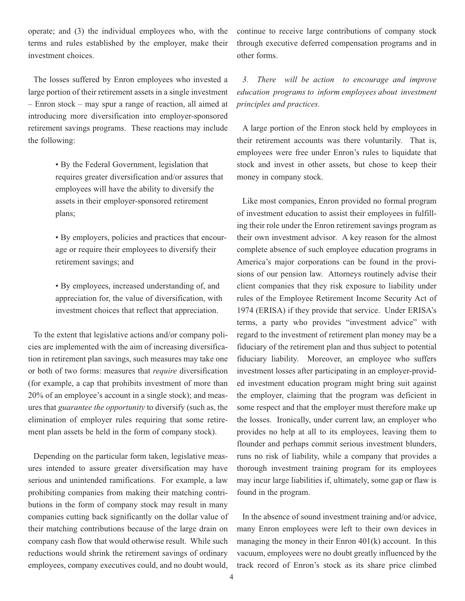operate; and (3) the individual employees who, with the terms and rules established by the employer, make their investment choices.

The losses suffered by Enron employees who invested a large portion of their retirement assets in a single investment – Enron stock – may spur a range of reaction, all aimed at introducing more diversification into employer-sponsored retirement savings programs. These reactions may include the following:

> • By the Federal Government, legislation that requires greater diversification and/or assures that employees will have the ability to diversify the assets in their employer-sponsored retirement plans;

• By employers, policies and practices that encourage or require their employees to diversify their retirement savings; and

• By employees, increased understanding of, and appreciation for, the value of diversification, with investment choices that reflect that appreciation.

To the extent that legislative actions and/or company policies are implemented with the aim of increasing diversification in retirement plan savings, such measures may take one or both of two forms: measures that *require* diversification (for example, a cap that prohibits investment of more than 20% of an employee's account in a single stock); and measures that *guarantee the opportunity* to diversify (such as, the elimination of employer rules requiring that some retirement plan assets be held in the form of company stock).

Depending on the particular form taken, legislative measures intended to assure greater diversification may have serious and unintended ramifications. For example, a law prohibiting companies from making their matching contributions in the form of company stock may result in many companies cutting back significantly on the dollar value of their matching contributions because of the large drain on company cash flow that would otherwise result. While such reductions would shrink the retirement savings of ordinary employees, company executives could, and no doubt would, continue to receive large contributions of company stock through executive deferred compensation programs and in other forms.

*3. There will be action to encourage and improve education programs to inform employees about investment principles and practices.*

A large portion of the Enron stock held by employees in their retirement accounts was there voluntarily. That is, employees were free under Enron's rules to liquidate that stock and invest in other assets, but chose to keep their money in company stock.

Like most companies, Enron provided no formal program of investment education to assist their employees in fulfilling their role under the Enron retirement savings program as their own investment advisor. A key reason for the almost complete absence of such employee education programs in America's major corporations can be found in the provisions of our pension law. Attorneys routinely advise their client companies that they risk exposure to liability under rules of the Employee Retirement Income Security Act of 1974 (ERISA) if they provide that service. Under ERISA's terms, a party who provides "investment advice" with regard to the investment of retirement plan money may be a fiduciary of the retirement plan and thus subject to potential fiduciary liability. Moreover, an employee who suffers investment losses after participating in an employer-provided investment education program might bring suit against the employer, claiming that the program was deficient in some respect and that the employer must therefore make up the losses. Ironically, under current law, an employer who provides no help at all to its employees, leaving them to flounder and perhaps commit serious investment blunders, runs no risk of liability, while a company that provides a thorough investment training program for its employees may incur large liabilities if, ultimately, some gap or flaw is found in the program.

In the absence of sound investment training and/or advice, many Enron employees were left to their own devices in managing the money in their Enron 401(k) account. In this vacuum, employees were no doubt greatly influenced by the track record of Enron's stock as its share price climbed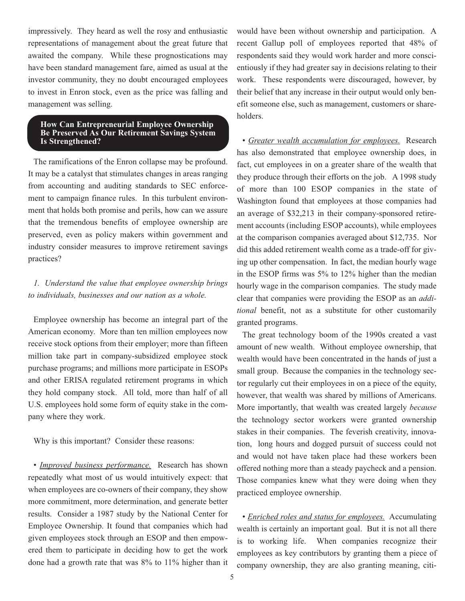impressively. They heard as well the rosy and enthusiastic representations of management about the great future that awaited the company. While these prognostications may have been standard management fare, aimed as usual at the investor community, they no doubt encouraged employees to invest in Enron stock, even as the price was falling and management was selling.

#### **How Can Entrepreneurial Employee Ownership Be Preserved As Our Retirement Savings System Is Strengthened?**

The ramifications of the Enron collapse may be profound. It may be a catalyst that stimulates changes in areas ranging from accounting and auditing standards to SEC enforcement to campaign finance rules. In this turbulent environment that holds both promise and perils, how can we assure that the tremendous benefits of employee ownership are preserved, even as policy makers within government and industry consider measures to improve retirement savings practices?

## *1. Understand the value that employee ownership brings to individuals, businesses and our nation as a whole.*

Employee ownership has become an integral part of the American economy. More than ten million employees now receive stock options from their employer; more than fifteen million take part in company-subsidized employee stock purchase programs; and millions more participate in ESOPs and other ERISA regulated retirement programs in which they hold company stock. All told, more than half of all U.S. employees hold some form of equity stake in the company where they work.

Why is this important? Consider these reasons:

*• Improved business performance.* Research has shown repeatedly what most of us would intuitively expect: that when employees are co-owners of their company, they show more commitment, more determination, and generate better results. Consider a 1987 study by the National Center for Employee Ownership. It found that companies which had given employees stock through an ESOP and then empowered them to participate in deciding how to get the work done had a growth rate that was 8% to 11% higher than it would have been without ownership and participation. A recent Gallup poll of employees reported that 48% of respondents said they would work harder and more conscientiously if they had greater say in decisions relating to their work. These respondents were discouraged, however, by their belief that any increase in their output would only benefit someone else, such as management, customers or shareholders.

*• Greater wealth accumulation for employees.* Research has also demonstrated that employee ownership does, in fact, cut employees in on a greater share of the wealth that they produce through their efforts on the job. A 1998 study of more than 100 ESOP companies in the state of Washington found that employees at those companies had an average of \$32,213 in their company-sponsored retirement accounts (including ESOP accounts), while employees at the comparison companies averaged about \$12,735. Nor did this added retirement wealth come as a trade-off for giving up other compensation. In fact, the median hourly wage in the ESOP firms was 5% to 12% higher than the median hourly wage in the comparison companies. The study made clear that companies were providing the ESOP as an *additional* benefit, not as a substitute for other customarily granted programs.

The great technology boom of the 1990s created a vast amount of new wealth. Without employee ownership, that wealth would have been concentrated in the hands of just a small group. Because the companies in the technology sector regularly cut their employees in on a piece of the equity, however, that wealth was shared by millions of Americans. More importantly, that wealth was created largely *because* the technology sector workers were granted ownership stakes in their companies. The feverish creativity, innovation, long hours and dogged pursuit of success could not and would not have taken place had these workers been offered nothing more than a steady paycheck and a pension. Those companies knew what they were doing when they practiced employee ownership.

*• Enriched roles and status for employees.* Accumulating wealth is certainly an important goal. But it is not all there is to working life. When companies recognize their employees as key contributors by granting them a piece of company ownership, they are also granting meaning, citi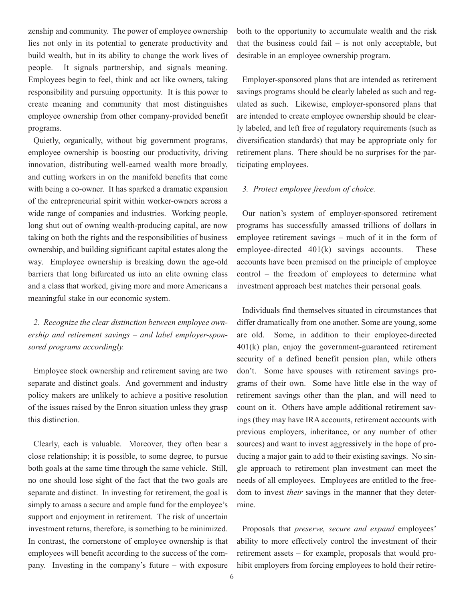zenship and community. The power of employee ownership lies not only in its potential to generate productivity and build wealth, but in its ability to change the work lives of people. It signals partnership, and signals meaning. Employees begin to feel, think and act like owners, taking responsibility and pursuing opportunity. It is this power to create meaning and community that most distinguishes employee ownership from other company-provided benefit programs.

Quietly, organically, without big government programs, employee ownership is boosting our productivity, driving innovation, distributing well-earned wealth more broadly, and cutting workers in on the manifold benefits that come with being a co-owner. It has sparked a dramatic expansion of the entrepreneurial spirit within worker-owners across a wide range of companies and industries. Working people, long shut out of owning wealth-producing capital, are now taking on both the rights and the responsibilities of business ownership, and building significant capital estates along the way. Employee ownership is breaking down the age-old barriers that long bifurcated us into an elite owning class and a class that worked, giving more and more Americans a meaningful stake in our economic system.

*2. Recognize the clear distinction between employee ownership and retirement savings – and label employer-sponsored programs accordingly.*

Employee stock ownership and retirement saving are two separate and distinct goals. And government and industry policy makers are unlikely to achieve a positive resolution of the issues raised by the Enron situation unless they grasp this distinction.

Clearly, each is valuable. Moreover, they often bear a close relationship; it is possible, to some degree, to pursue both goals at the same time through the same vehicle. Still, no one should lose sight of the fact that the two goals are separate and distinct. In investing for retirement, the goal is simply to amass a secure and ample fund for the employee's support and enjoyment in retirement. The risk of uncertain investment returns, therefore, is something to be minimized. In contrast, the cornerstone of employee ownership is that employees will benefit according to the success of the company. Investing in the company's future – with exposure both to the opportunity to accumulate wealth and the risk that the business could fail  $-$  is not only acceptable, but desirable in an employee ownership program.

Employer-sponsored plans that are intended as retirement savings programs should be clearly labeled as such and regulated as such. Likewise, employer-sponsored plans that are intended to create employee ownership should be clearly labeled, and left free of regulatory requirements (such as diversification standards) that may be appropriate only for retirement plans. There should be no surprises for the participating employees.

#### *3. Protect employee freedom of choice.*

Our nation's system of employer-sponsored retirement programs has successfully amassed trillions of dollars in employee retirement savings – much of it in the form of employee-directed 401(k) savings accounts. These accounts have been premised on the principle of employee control – the freedom of employees to determine what investment approach best matches their personal goals.

Individuals find themselves situated in circumstances that differ dramatically from one another. Some are young, some are old. Some, in addition to their employee-directed 401(k) plan, enjoy the government-guaranteed retirement security of a defined benefit pension plan, while others don't. Some have spouses with retirement savings programs of their own. Some have little else in the way of retirement savings other than the plan, and will need to count on it. Others have ample additional retirement savings (they may have IRA accounts, retirement accounts with previous employers, inheritance, or any number of other sources) and want to invest aggressively in the hope of producing a major gain to add to their existing savings. No single approach to retirement plan investment can meet the needs of all employees. Employees are entitled to the freedom to invest *their* savings in the manner that they determine.

Proposals that *preserve, secure and expand* employees' ability to more effectively control the investment of their retirement assets – for example, proposals that would prohibit employers from forcing employees to hold their retire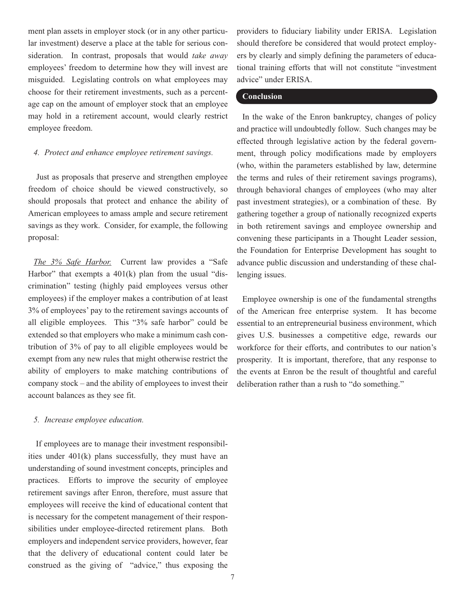ment plan assets in employer stock (or in any other particular investment) deserve a place at the table for serious consideration. In contrast, proposals that would *take away* employees' freedom to determine how they will invest are misguided. Legislating controls on what employees may choose for their retirement investments, such as a percentage cap on the amount of employer stock that an employee may hold in a retirement account, would clearly restrict employee freedom.

#### *4. Protect and enhance employee retirement savings.*

Just as proposals that preserve and strengthen employee freedom of choice should be viewed constructively, so should proposals that protect and enhance the ability of American employees to amass ample and secure retirement savings as they work. Consider, for example, the following proposal:

*The 3% Safe Harbor.* Current law provides a "Safe Harbor" that exempts a  $401(k)$  plan from the usual "discrimination" testing (highly paid employees versus other employees) if the employer makes a contribution of at least 3% of employees' pay to the retirement savings accounts of all eligible employees. This "3% safe harbor" could be extended so that employers who make a minimum cash contribution of 3% of pay to all eligible employees would be exempt from any new rules that might otherwise restrict the ability of employers to make matching contributions of company stock – and the ability of employees to invest their account balances as they see fit.

#### *5. Increase employee education.*

If employees are to manage their investment responsibilities under 401(k) plans successfully, they must have an understanding of sound investment concepts, principles and practices. Efforts to improve the security of employee retirement savings after Enron, therefore, must assure that employees will receive the kind of educational content that is necessary for the competent management of their responsibilities under employee-directed retirement plans. Both employers and independent service providers, however, fear that the delivery of educational content could later be construed as the giving of "advice," thus exposing the

providers to fiduciary liability under ERISA. Legislation should therefore be considered that would protect employers by clearly and simply defining the parameters of educational training efforts that will not constitute "investment advice" under ERISA.

#### **Conclusion**

In the wake of the Enron bankruptcy, changes of policy and practice will undoubtedly follow. Such changes may be effected through legislative action by the federal government, through policy modifications made by employers (who, within the parameters established by law, determine the terms and rules of their retirement savings programs), through behavioral changes of employees (who may alter past investment strategies), or a combination of these. By gathering together a group of nationally recognized experts in both retirement savings and employee ownership and convening these participants in a Thought Leader session, the Foundation for Enterprise Development has sought to advance public discussion and understanding of these challenging issues.

Employee ownership is one of the fundamental strengths of the American free enterprise system. It has become essential to an entrepreneurial business environment, which gives U.S. businesses a competitive edge, rewards our workforce for their efforts, and contributes to our nation's prosperity. It is important, therefore, that any response to the events at Enron be the result of thoughtful and careful deliberation rather than a rush to "do something."